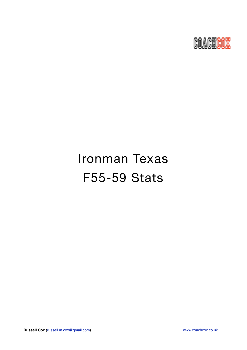

# Ironman Texas F55-59 Stats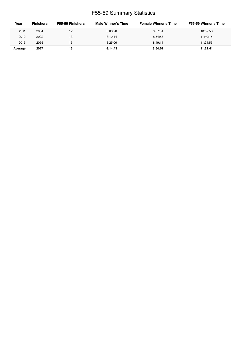### F55-59 Summary Statistics

| Year    | <b>Finishers</b> | F55-59 Finishers | Male Winner's Time | <b>Female Winner's Time</b> | <b>F55-59 Winner's Time</b> |
|---------|------------------|------------------|--------------------|-----------------------------|-----------------------------|
| 2011    | 2004             | 12               | 8:08:20            | 8:57:51                     | 10:59:53                    |
| 2012    | 2022             | 13               | 8:10:44            | 8:54:58                     | 11:40:15                    |
| 2013    | 2055             | 15               | 8:25:06            | 8:49:14                     | 11:24:55                    |
| Average | 2027             | 13               | 8:14:43            | 8:54:01                     | 11:21:41                    |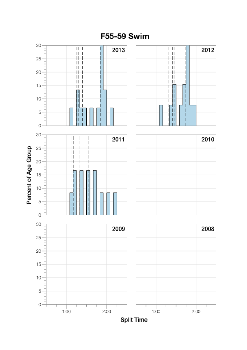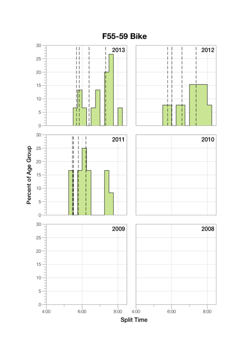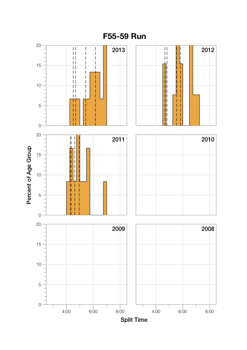

F55-59 Run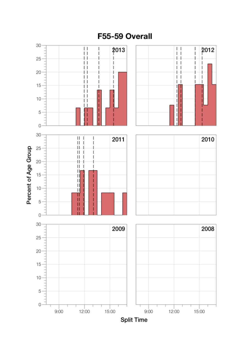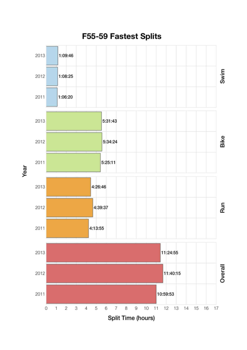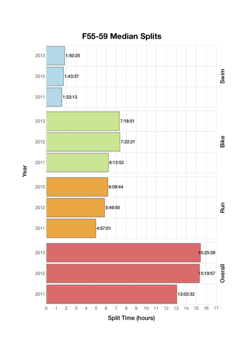

Year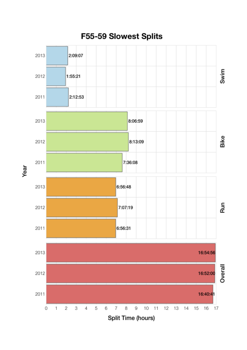

Year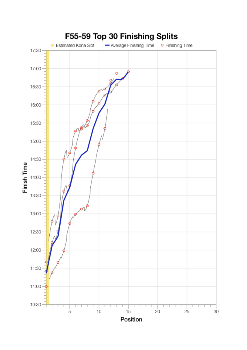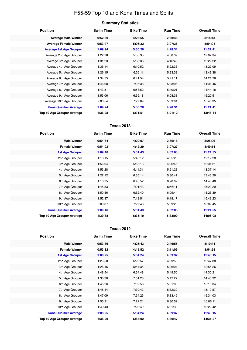## F55-59 Top 10 and Kona Times and Splits

| <b>Position</b>                   | <b>Swim Time</b> | <b>Bike Time</b> | <b>Run Time</b> | <b>Overall Time</b> |
|-----------------------------------|------------------|------------------|-----------------|---------------------|
| <b>Average Male Winner</b>        | 0:52:39          | 4:26:55          | 2:50:45         | 8:14:43             |
| <b>Average Female Winner</b>      | 0:53:47          | 5:06:32          | 3:07:36         | 8:54:01             |
| <b>Average 1st Age Grouper</b>    | 1:09:24          | 5:30:26          | 4:28:31         | 11:21:41            |
| Average 2nd Age Grouper           | 1:22:28          | 5:53:35          | 4:38:39         | 12:07:34            |
| Average 3rd Age Grouper           | 1:31:23          | 5:53:36          | 4:46:42         | 12:22:22            |
| Average 4th Age Grouper           | 1:36:14          | 6:10:52          | 5:22:36         | 13:22:09            |
| Average 5th Age Grouper           | 1:26:15          | 6:36:11          | 5:23:33         | 13:43:38            |
| Average 6th Age Grouper           | 1:34:55          | 6:41:54          | 5:41:11         | 14:21:28            |
| Average 7th Age Grouper           | 1:46:08          | 7:06:38          | 5:23:06         | 14:36:46            |
| Average 8th Age Grouper           | 1:43:51          | 6:58:52          | 5:40:01         | 14:44:18            |
| Average 9th Age Grouper           | 1:53:06          | 6:59:18          | 6:08:38         | 15:20:51            |
| Average 10th Age Grouper          | 2:00:54          | 7:27:09          | 5:59:04         | 15:46:35            |
| <b>Kona Qualifier Average</b>     | 1:09:24          | 5:30:26          | 4:28:31         | 11:21:41            |
| <b>Top 10 Age Grouper Average</b> | 1:36:28          | 6:31:51          | 5:21:12         | 13:46:44            |

#### **Texas 2013**

| <b>Position</b>               | <b>Swim Time</b> | <b>Bike Time</b> | <b>Run Time</b> | <b>Overall Time</b> |
|-------------------------------|------------------|------------------|-----------------|---------------------|
| <b>Male Winner</b>            | 0:54:54          | 4:29:07          | 2:56:18         | 8:25:06             |
| <b>Female Winner</b>          | 0:54:02          | 4:42:29          | 3:07:27         | 8:49:14             |
| <b>1st Age Grouper</b>        | 1:09:46          | 5:31:43          | 4:32:03         | 11:24:55            |
| 2nd Age Grouper               | 1:18:15          | 5:45:12          | 4:55:23         | 12:12:28            |
| 3rd Age Grouper               | 1:56:04          | 5:58:13          | 4:26:46         | 12:31:21            |
| 4th Age Grouper               | 1:53:28          | 6:11:31          | 5:21:28         | 13:37:14            |
| 5th Age Grouper               | 1:22:12          | 6:35:14          | 5:30:41         | 13:46:29            |
| 6th Age Grouper               | 1:18:25          | 6:48:52          | 6:20:02         | 14:48:40            |
| 7th Age Grouper               | 1:45:53          | 7:21:43          | 5:56:11         | 15:22:29            |
| 8th Age Grouper               | 1:50:36          | 6:52:40          | 6:09:44         | 15:25:39            |
| 9th Age Grouper               | 1:52:37          | 7:18:51          | 6:18:17         | 15:49:23            |
| 10th Age Grouper              | 2:09:07          | 7:27:46          | 5:59:25         | 16:02:45            |
| <b>Kona Qualifier Average</b> | 1:09:46          | 5:31:43          | 4:32:03         | 11:24:55            |
| Top 10 Age Grouper Average    | 1:39:38          | 6:35:10          | 5:33:00         | 14:06:08            |

#### **Texas 2012**

| <b>Position</b>                   | <b>Swim Time</b> | <b>Bike Time</b> | <b>Run Time</b> | <b>Overall Time</b> |
|-----------------------------------|------------------|------------------|-----------------|---------------------|
| <b>Male Winner</b>                | 0:53:36          | 4:25:43          | 2:46:55         | 8:10:44             |
| <b>Female Winner</b>              | 0:53:32          | 4:45:52          | 3:11:09         | 8:54:58             |
| <b>1st Age Grouper</b>            | 1:08:25          | 5:34:24          | 4:39:37         | 11:40:15            |
| 2nd Age Grouper                   | 1:26:58          | 6:25:57          | 4:39:59         | 12:47:38            |
| 3rd Age Grouper                   | 1:26:15          | 5:54:35          | 5:26:07         | 12:56:26            |
| 4th Age Grouper                   | 1:48:54          | 6:34:48          | 5:49:50         | 14:30:21            |
| 5th Age Grouper                   | 1:35:30          | 7:01:28          | 5:42:27         | 14:40:32            |
| 6th Age Grouper                   | 1:45:26          | 7:02:56          | 5:51:03         | 15:16:34            |
| 7th Age Grouper                   | 1:48:44          | 7:30:43          | 5:32:30         | 15:19:57            |
| 8th Age Grouper                   | 1:47:09          | 7:54:25          | 5:33:49         | 15:34:03            |
| 9th Age Grouper                   | 1:55:21          | 7:22:21          | 6:30:52         | 16:06:11            |
| 10th Age Grouper                  | 1:40:43          | 7:28:49          | 6:51:39         | 16:22:42            |
| <b>Kona Qualifier Average</b>     | 1:08:25          | 5:34:24          | 4:39:37         | 11:40:15            |
| <b>Top 10 Age Grouper Average</b> | 1:38:20          | 6:53:02          | 5:39:47         | 14:31:27            |